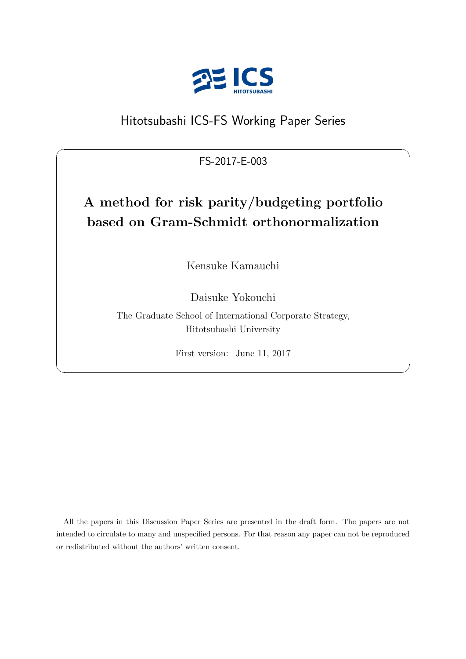

## Hitotsubashi ICS-FS Working Paper Series

FS-2017-E-003

 $\sqrt{2\pi}$ 

## **A method for risk parity/budgeting portfolio based on Gram-Schmidt orthonormalization**

Kensuke Kamauchi

Daisuke Yokouchi

The Graduate School of International Corporate Strategy, Hitotsubashi University

First version: June 11, 2017

✒ ✑

All the papers in this Discussion Paper Series are presented in the draft form. The papers are not intended to circulate to many and unspecified persons. For that reason any paper can not be reproduced or redistributed without the authors' written consent.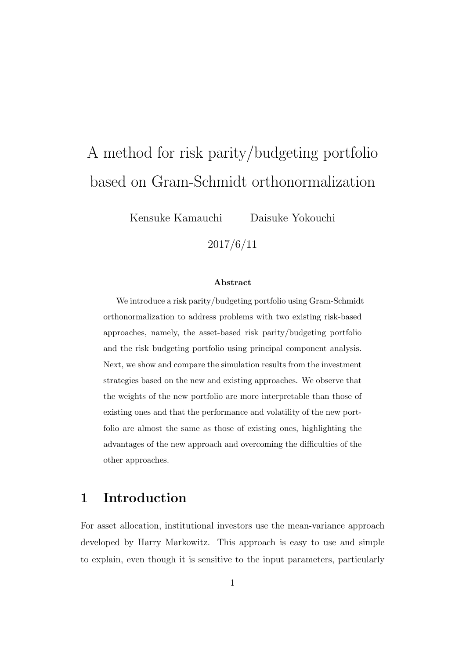# A method for risk parity/budgeting portfolio based on Gram-Schmidt orthonormalization

Kensuke Kamauchi Daisuke Yokouchi

#### **Abstract**

2017/6/11

We introduce a risk parity/budgeting portfolio using Gram-Schmidt orthonormalization to address problems with two existing risk-based approaches, namely, the asset-based risk parity/budgeting portfolio and the risk budgeting portfolio using principal component analysis. Next, we show and compare the simulation results from the investment strategies based on the new and existing approaches. We observe that the weights of the new portfolio are more interpretable than those of existing ones and that the performance and volatility of the new portfolio are almost the same as those of existing ones, highlighting the advantages of the new approach and overcoming the difficulties of the other approaches.

## **1 Introduction**

For asset allocation, institutional investors use the mean-variance approach developed by Harry Markowitz. This approach is easy to use and simple to explain, even though it is sensitive to the input parameters, particularly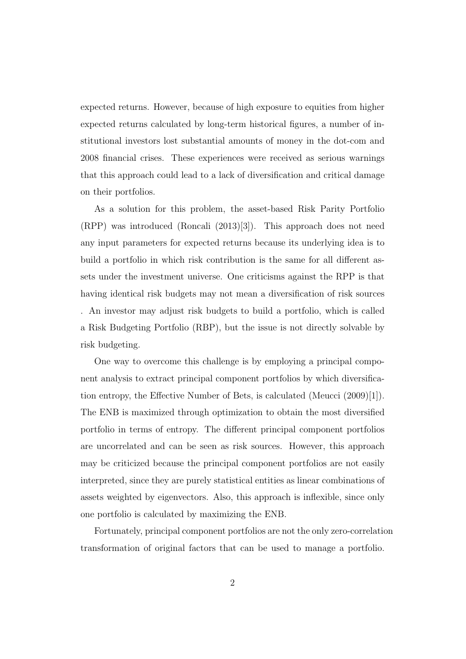expected returns. However, because of high exposure to equities from higher expected returns calculated by long-term historical figures, a number of institutional investors lost substantial amounts of money in the dot-com and 2008 financial crises. These experiences were received as serious warnings that this approach could lead to a lack of diversification and critical damage on their portfolios.

As a solution for this problem, the asset-based Risk Parity Portfolio (RPP) was introduced (Roncali (2013)[3]). This approach does not need any input parameters for expected returns because its underlying idea is to build a portfolio in which risk contribution is the same for all different assets under the investment universe. One criticisms against the RPP is that having identical risk budgets may not mean a diversification of risk sources . An investor may adjust risk budgets to build a portfolio, which is called a Risk Budgeting Portfolio (RBP), but the issue is not directly solvable by risk budgeting.

One way to overcome this challenge is by employing a principal component analysis to extract principal component portfolios by which diversification entropy, the Effective Number of Bets, is calculated (Meucci (2009)[1]). The ENB is maximized through optimization to obtain the most diversified portfolio in terms of entropy. The different principal component portfolios are uncorrelated and can be seen as risk sources. However, this approach may be criticized because the principal component portfolios are not easily interpreted, since they are purely statistical entities as linear combinations of assets weighted by eigenvectors. Also, this approach is inflexible, since only one portfolio is calculated by maximizing the ENB.

Fortunately, principal component portfolios are not the only zero-correlation transformation of original factors that can be used to manage a portfolio.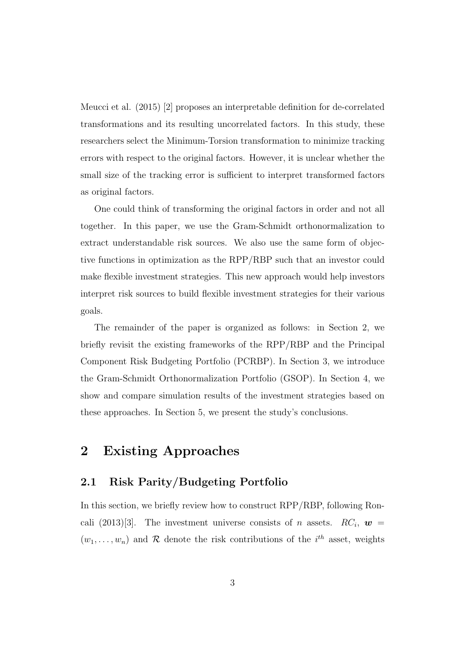Meucci et al. (2015) [2] proposes an interpretable definition for de-correlated transformations and its resulting uncorrelated factors. In this study, these researchers select the Minimum-Torsion transformation to minimize tracking errors with respect to the original factors. However, it is unclear whether the small size of the tracking error is sufficient to interpret transformed factors as original factors.

One could think of transforming the original factors in order and not all together. In this paper, we use the Gram-Schmidt orthonormalization to extract understandable risk sources. We also use the same form of objective functions in optimization as the RPP/RBP such that an investor could make flexible investment strategies. This new approach would help investors interpret risk sources to build flexible investment strategies for their various goals.

The remainder of the paper is organized as follows: in Section 2, we briefly revisit the existing frameworks of the RPP/RBP and the Principal Component Risk Budgeting Portfolio (PCRBP). In Section 3, we introduce the Gram-Schmidt Orthonormalization Portfolio (GSOP). In Section 4, we show and compare simulation results of the investment strategies based on these approaches. In Section 5, we present the study's conclusions.

## **2 Existing Approaches**

### **2.1 Risk Parity/Budgeting Portfolio**

In this section, we briefly review how to construct RPP/RBP, following Roncali (2013)<sup>[3]</sup>. The investment universe consists of *n* assets.  $RC_i$ ,  $w =$  $(w_1, \ldots, w_n)$  and  $\mathcal R$  denote the risk contributions of the  $i^{th}$  asset, weights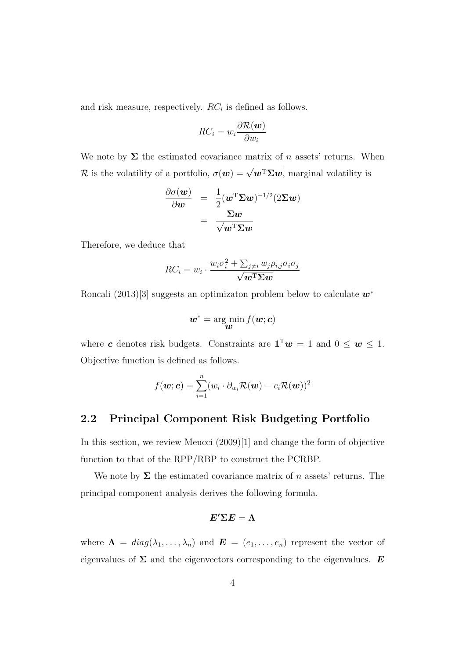and risk measure, respectively. *RC<sup>i</sup>* is defined as follows.

$$
RC_i = w_i \frac{\partial \mathcal{R}(\boldsymbol{w})}{\partial w_i}
$$

We note by  $\Sigma$  the estimated covariance matrix of *n* assets' returns. When *R* is the volatility of a portfolio,  $\sigma(w) = \sqrt{w^{\mathrm{T}}\Sigma w}$ , marginal volatility is

$$
\begin{array}{rcl} \frac{\partial \sigma(\boldsymbol{w})}{\partial \boldsymbol{w}} & = & \frac{1}{2} (\boldsymbol{w}^{\mathrm{T}} \boldsymbol{\Sigma} \boldsymbol{w})^{-1/2} (2 \boldsymbol{\Sigma} \boldsymbol{w}) \\ & = & \frac{\boldsymbol{\Sigma} \boldsymbol{w}}{\sqrt{\boldsymbol{w}^{\mathrm{T}} \boldsymbol{\Sigma} \boldsymbol{w}}} \end{array}
$$

Therefore, we deduce that

$$
RC_i = w_i \cdot \frac{w_i \sigma_i^2 + \sum_{j \neq i} w_j \rho_{i,j} \sigma_i \sigma_j}{\sqrt{\mathbf{w}^{\mathrm{T}} \Sigma \mathbf{w}}}
$$

Roncali (2013)[3] suggests an optimizaton problem below to calculate *w<sup>∗</sup>*

$$
\boldsymbol{w}^* = \argmin_{\boldsymbol{w}} f(\boldsymbol{w}; \boldsymbol{c})
$$

where *c* denotes risk budgets. Constraints are  $\mathbf{1}^T w = 1$  and  $0 \leq w \leq 1$ . Objective function is defined as follows.

$$
f(\boldsymbol{w}; \boldsymbol{c}) = \sum_{i=1}^n (w_i \cdot \partial_{w_i} \mathcal{R}(\boldsymbol{w}) - c_i \mathcal{R}(\boldsymbol{w}))^2
$$

### **2.2 Principal Component Risk Budgeting Portfolio**

In this section, we review Meucci (2009)[1] and change the form of objective function to that of the RPP/RBP to construct the PCRBP.

We note by  $\Sigma$  the estimated covariance matrix of *n* assets' returns. The principal component analysis derives the following formula.

$$
\boldsymbol{E'\Sigma E}=\boldsymbol{\Lambda}
$$

where  $\Lambda = diag(\lambda_1, \ldots, \lambda_n)$  and  $\boldsymbol{E} = (e_1, \ldots, e_n)$  represent the vector of eigenvalues of  $\Sigma$  and the eigenvectors corresponding to the eigenvalues.  $E$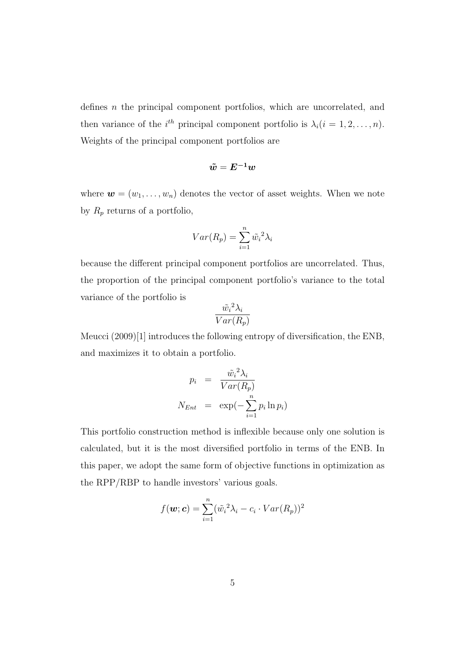defines *n* the principal component portfolios, which are uncorrelated, and then variance of the *i*<sup>th</sup> principal component portfolio is  $\lambda_i$  (*i* = 1, 2, . . . , *n*). Weights of the principal component portfolios are

$$
\tilde{w} = E^{-1} w
$$

where  $\mathbf{w} = (w_1, \ldots, w_n)$  denotes the vector of asset weights. When we note by  $R_p$  returns of a portfolio,

$$
Var(R_p) = \sum_{i=1}^{n} \tilde{w}_i^2 \lambda_i
$$

because the different principal component portfolios are uncorrelated. Thus, the proportion of the principal component portfolio's variance to the total variance of the portfolio is

$$
\frac{\tilde{w_i}^2 \lambda_i}{Var(R_p)}
$$

Meucci (2009)[1] introduces the following entropy of diversification, the ENB, and maximizes it to obtain a portfolio.

$$
p_i = \frac{\tilde{w_i}^2 \lambda_i}{Var(R_p)}
$$
  

$$
N_{Ent} = \exp(-\sum_{i=1}^n p_i \ln p_i)
$$

This portfolio construction method is inflexible because only one solution is calculated, but it is the most diversified portfolio in terms of the ENB. In this paper, we adopt the same form of objective functions in optimization as the RPP/RBP to handle investors' various goals.

$$
f(\boldsymbol{w}; \boldsymbol{c}) = \sum_{i=1}^{n} (\tilde{w}_i^2 \lambda_i - c_i \cdot Var(R_p))^2
$$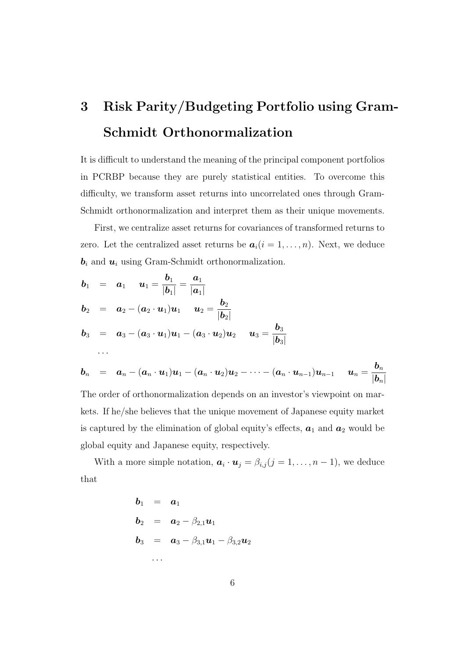# **3 Risk Parity/Budgeting Portfolio using Gram-Schmidt Orthonormalization**

It is difficult to understand the meaning of the principal component portfolios in PCRBP because they are purely statistical entities. To overcome this difficulty, we transform asset returns into uncorrelated ones through Gram-Schmidt orthonormalization and interpret them as their unique movements.

First, we centralize asset returns for covariances of transformed returns to zero. Let the centralized asset returns be  $a_i(i = 1, \ldots, n)$ . Next, we deduce *b<sup>i</sup>* and *u<sup>i</sup>* using Gram-Schmidt orthonormalization.

$$
b_1 = a_1 \t u_1 = \frac{b_1}{|b_1|} = \frac{a_1}{|a_1|}
$$
  
\n
$$
b_2 = a_2 - (a_2 \cdot u_1)u_1 \t u_2 = \frac{b_2}{|b_2|}
$$
  
\n
$$
b_3 = a_3 - (a_3 \cdot u_1)u_1 - (a_3 \cdot u_2)u_2 \t u_3 = \frac{b_3}{|b_3|}
$$
  
\n...  
\n
$$
b_n = a_n - (a_n \cdot u_1)u_1 - (a_n \cdot u_2)u_2 - \cdots - (a_n \cdot u_{n-1})u_{n-1} \t u_n = \frac{b_n}{|b_n|}
$$
  
\nThe order of orthonormalization depends on an investor's viewpoint on mar-  
\nkets. If he/she believes that the unique movement of Japanese equity market  
\nis captured by the elimination of global equity's effects,  $a_1$  and  $a_2$  would be  
\nglobal equity and Japanese equity, respectively.

With a more simple notation,  $a_i \cdot u_j = \beta_{i,j} (j = 1, \ldots, n-1)$ , we deduce that

$$
b_1 = a_1
$$
  
\n
$$
b_2 = a_2 - \beta_{2,1} u_1
$$
  
\n
$$
b_3 = a_3 - \beta_{3,1} u_1 - \beta_{3,2} u_2
$$
  
\n...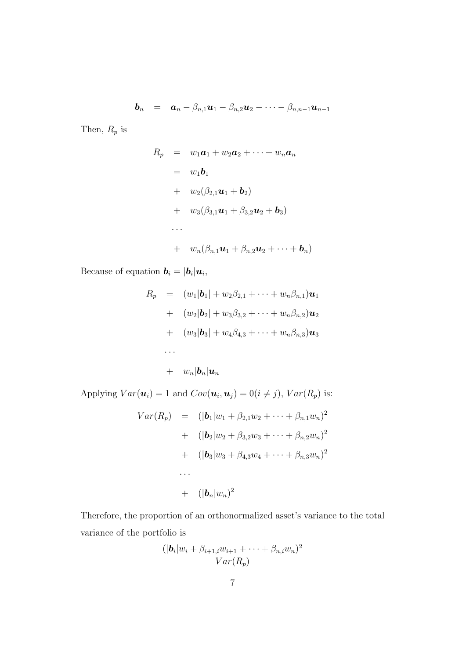$$
\boldsymbol{b}_n = \boldsymbol{a}_n - \beta_{n,1} \boldsymbol{u}_1 - \beta_{n,2} \boldsymbol{u}_2 - \cdots - \beta_{n,n-1} \boldsymbol{u}_{n-1}
$$

Then,  $R_p$  is

$$
R_p = w_1 \mathbf{a}_1 + w_2 \mathbf{a}_2 + \cdots + w_n \mathbf{a}_n
$$
  
\n
$$
= w_1 \mathbf{b}_1
$$
  
\n
$$
+ w_2(\beta_{2,1} \mathbf{u}_1 + \mathbf{b}_2)
$$
  
\n
$$
+ w_3(\beta_{3,1} \mathbf{u}_1 + \beta_{3,2} \mathbf{u}_2 + \mathbf{b}_3)
$$
  
\n...  
\n
$$
+ w_n(\beta_{n,1} \mathbf{u}_1 + \beta_{n,2} \mathbf{u}_2 + \cdots + \mathbf{b}_n)
$$

Because of equation  $\mathbf{b}_i = |\mathbf{b}_i| \mathbf{u}_i$ ,

$$
R_p = (w_1|\mathbf{b}_1| + w_2\beta_{2,1} + \cdots + w_n\beta_{n,1})\mathbf{u}_1
$$
  
+ 
$$
(w_2|\mathbf{b}_2| + w_3\beta_{3,2} + \cdots + w_n\beta_{n,2})\mathbf{u}_2
$$
  
+ 
$$
(w_3|\mathbf{b}_3| + w_4\beta_{4,3} + \cdots + w_n\beta_{n,3})\mathbf{u}_3
$$
  
...  
+ 
$$
w_n|\mathbf{b}_n|\mathbf{u}_n
$$

Applying  $Var(\boldsymbol{u}_i) = 1$  and  $Cov(\boldsymbol{u}_i, \boldsymbol{u}_j) = 0 (i \neq j)$ ,  $Var(R_p)$  is:

$$
Var(R_p) = (|\mathbf{b}_1|w_1 + \beta_{2,1}w_2 + \dots + \beta_{n,1}w_n)^2
$$
  
+ 
$$
(|\mathbf{b}_2|w_2 + \beta_{3,2}w_3 + \dots + \beta_{n,2}w_n)^2
$$
  
+ 
$$
(|\mathbf{b}_3|w_3 + \beta_{4,3}w_4 + \dots + \beta_{n,3}w_n)^2
$$
  
...  
+ 
$$
(|\mathbf{b}_n|w_n)^2
$$

Therefore, the proportion of an orthonormalized asset's variance to the total variance of the portfolio is

$$
\frac{(|\mathbf{b}_i|w_i + \beta_{i+1,i}w_{i+1} + \cdots + \beta_{n,i}w_n)^2}{Var(R_p)}
$$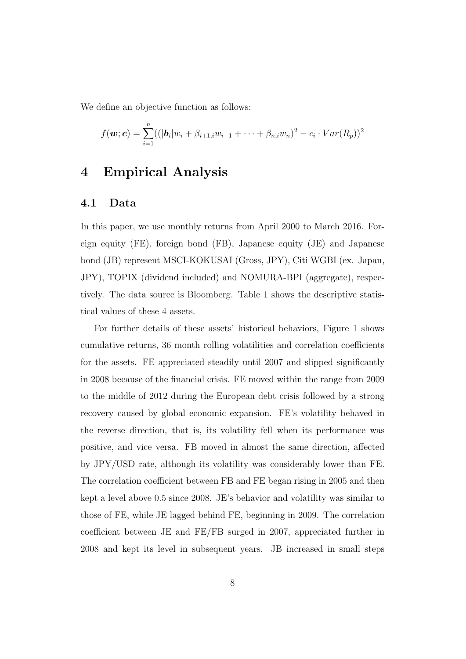We define an objective function as follows:

$$
f(\mathbf{w}; \mathbf{c}) = \sum_{i=1}^{n} ((|\mathbf{b}_i|w_i + \beta_{i+1,i}w_{i+1} + \cdots + \beta_{n,i}w_n)^2 - c_i \cdot Var(R_p))^2
$$

### **4 Empirical Analysis**

#### **4.1 Data**

In this paper, we use monthly returns from April 2000 to March 2016. Foreign equity (FE), foreign bond (FB), Japanese equity (JE) and Japanese bond (JB) represent MSCI-KOKUSAI (Gross, JPY), Citi WGBI (ex. Japan, JPY), TOPIX (dividend included) and NOMURA-BPI (aggregate), respectively. The data source is Bloomberg. Table 1 shows the descriptive statistical values of these 4 assets.

For further details of these assets' historical behaviors, Figure 1 shows cumulative returns, 36 month rolling volatilities and correlation coefficients for the assets. FE appreciated steadily until 2007 and slipped significantly in 2008 because of the financial crisis. FE moved within the range from 2009 to the middle of 2012 during the European debt crisis followed by a strong recovery caused by global economic expansion. FE's volatility behaved in the reverse direction, that is, its volatility fell when its performance was positive, and vice versa. FB moved in almost the same direction, affected by JPY/USD rate, although its volatility was considerably lower than FE. The correlation coefficient between FB and FE began rising in 2005 and then kept a level above 0.5 since 2008. JE's behavior and volatility was similar to those of FE, while JE lagged behind FE, beginning in 2009. The correlation coefficient between JE and FE/FB surged in 2007, appreciated further in 2008 and kept its level in subsequent years. JB increased in small steps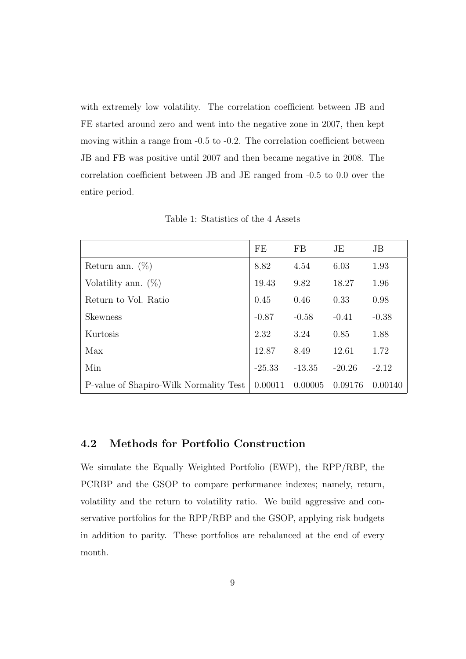with extremely low volatility. The correlation coefficient between JB and FE started around zero and went into the negative zone in 2007, then kept moving within a range from  $-0.5$  to  $-0.2$ . The correlation coefficient between JB and FB was positive until 2007 and then became negative in 2008. The correlation coefficient between JB and JE ranged from -0.5 to 0.0 over the entire period.

|                                        | FE       | <b>FB</b> | JE       | JB      |
|----------------------------------------|----------|-----------|----------|---------|
| Return ann. $(\%)$                     | 8.82     | 4.54      | 6.03     | 1.93    |
| Volatility ann. $(\%)$                 | 19.43    | 9.82      | 18.27    | 1.96    |
| Return to Vol. Ratio                   | 0.45     | 0.46      | 0.33     | 0.98    |
| <b>Skewness</b>                        | $-0.87$  | $-0.58$   | $-0.41$  | $-0.38$ |
| Kurtosis                               | 2.32     | 3.24      | 0.85     | 1.88    |
| Max                                    | 12.87    | 8.49      | 12.61    | 1.72    |
| Min                                    | $-25.33$ | $-13.35$  | $-20.26$ | $-2.12$ |
| P-value of Shapiro-Wilk Normality Test | 0.00011  | 0.00005   | 0.09176  | 0.00140 |

Table 1: Statistics of the 4 Assets

### **4.2 Methods for Portfolio Construction**

We simulate the Equally Weighted Portfolio (EWP), the RPP/RBP, the PCRBP and the GSOP to compare performance indexes; namely, return, volatility and the return to volatility ratio. We build aggressive and conservative portfolios for the RPP/RBP and the GSOP, applying risk budgets in addition to parity. These portfolios are rebalanced at the end of every month.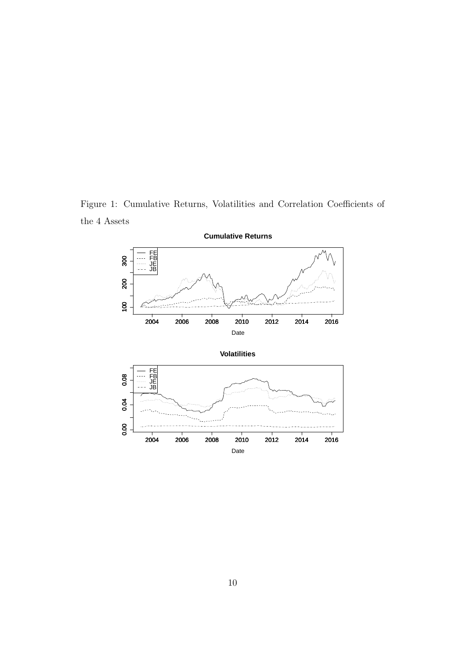Figure 1: Cumulative Returns, Volatilities and Correlation Coefficients of the 4 Assets



**Cumulative Returns**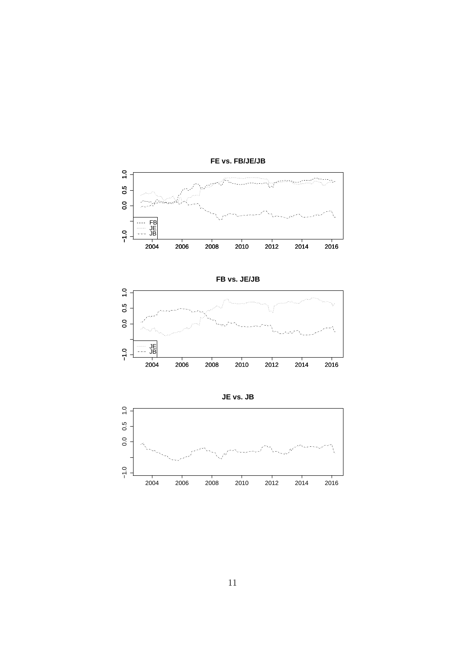

**FE vs. FB/JE/JB**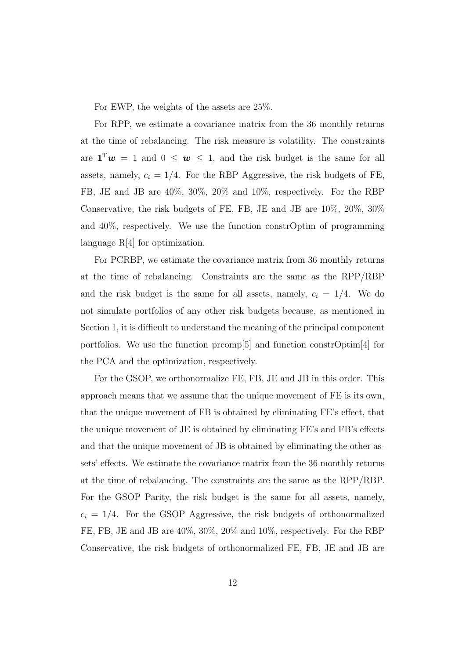For EWP, the weights of the assets are 25%.

For RPP, we estimate a covariance matrix from the 36 monthly returns at the time of rebalancing. The risk measure is volatility. The constraints are  $\mathbf{1}^T w = 1$  and  $0 \leq w \leq 1$ , and the risk budget is the same for all assets, namely,  $c_i = 1/4$ . For the RBP Aggressive, the risk budgets of FE, FB, JE and JB are 40%, 30%, 20% and 10%, respectively. For the RBP Conservative, the risk budgets of FE, FB, JE and JB are 10%, 20%, 30% and 40%, respectively. We use the function constrOptim of programming language R[4] for optimization.

For PCRBP, we estimate the covariance matrix from 36 monthly returns at the time of rebalancing. Constraints are the same as the RPP/RBP and the risk budget is the same for all assets, namely,  $c_i = 1/4$ . We do not simulate portfolios of any other risk budgets because, as mentioned in Section 1, it is difficult to understand the meaning of the principal component portfolios. We use the function prcomp[5] and function constrOptim[4] for the PCA and the optimization, respectively.

For the GSOP, we orthonormalize FE, FB, JE and JB in this order. This approach means that we assume that the unique movement of FE is its own, that the unique movement of FB is obtained by eliminating FE's effect, that the unique movement of JE is obtained by eliminating FE's and FB's effects and that the unique movement of JB is obtained by eliminating the other assets' effects. We estimate the covariance matrix from the 36 monthly returns at the time of rebalancing. The constraints are the same as the RPP/RBP. For the GSOP Parity, the risk budget is the same for all assets, namely,  $c_i = 1/4$ . For the GSOP Aggressive, the risk budgets of orthonormalized FE, FB, JE and JB are 40%, 30%, 20% and 10%, respectively. For the RBP Conservative, the risk budgets of orthonormalized FE, FB, JE and JB are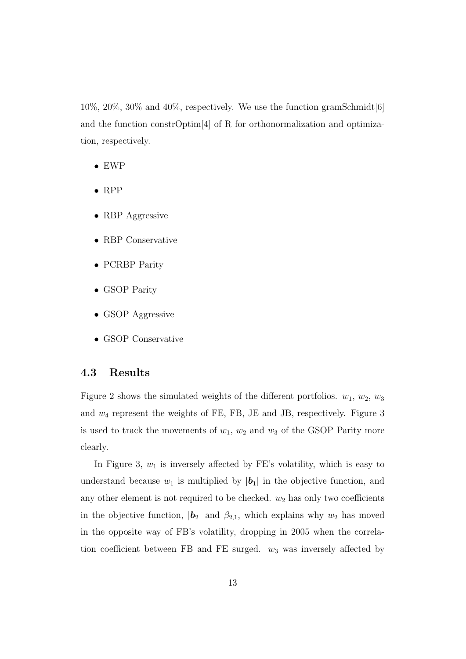$10\%, 20\%, 30\%$  and  $40\%,$  respectively. We use the function gramSchmidt [6] and the function constrOptim[4] of R for orthonormalization and optimization, respectively.

- *•* EWP
- *•* RPP
- *•* RBP Aggressive
- *•* RBP Conservative
- *•* PCRBP Parity
- *•* GSOP Parity
- *•* GSOP Aggressive
- *•* GSOP Conservative

### **4.3 Results**

Figure 2 shows the simulated weights of the different portfolios.  $w_1, w_2, w_3$ and *w*<sup>4</sup> represent the weights of FE, FB, JE and JB, respectively. Figure 3 is used to track the movements of  $w_1$ ,  $w_2$  and  $w_3$  of the GSOP Parity more clearly.

In Figure 3,  $w_1$  is inversely affected by FE's volatility, which is easy to understand because  $w_1$  is multiplied by  $|\boldsymbol{b}_1|$  in the objective function, and any other element is not required to be checked.  $w_2$  has only two coefficients in the objective function,  $|\mathbf{b}_2|$  and  $\beta_{2,1}$ , which explains why  $w_2$  has moved in the opposite way of FB's volatility, dropping in 2005 when the correlation coefficient between FB and FE surged.  $w_3$  was inversely affected by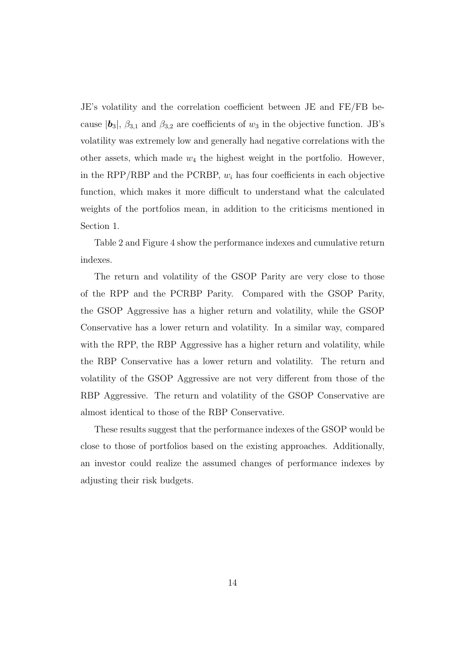JE's volatility and the correlation coefficient between JE and FE/FB because  $|\boldsymbol{b}_3|$ ,  $\beta_{3,1}$  and  $\beta_{3,2}$  are coefficients of  $w_3$  in the objective function. JB's volatility was extremely low and generally had negative correlations with the other assets, which made  $w_4$  the highest weight in the portfolio. However, in the RPP/RBP and the PCRBP, *w<sup>i</sup>* has four coefficients in each objective function, which makes it more difficult to understand what the calculated weights of the portfolios mean, in addition to the criticisms mentioned in Section 1.

Table 2 and Figure 4 show the performance indexes and cumulative return indexes.

The return and volatility of the GSOP Parity are very close to those of the RPP and the PCRBP Parity. Compared with the GSOP Parity, the GSOP Aggressive has a higher return and volatility, while the GSOP Conservative has a lower return and volatility. In a similar way, compared with the RPP, the RBP Aggressive has a higher return and volatility, while the RBP Conservative has a lower return and volatility. The return and volatility of the GSOP Aggressive are not very different from those of the RBP Aggressive. The return and volatility of the GSOP Conservative are almost identical to those of the RBP Conservative.

These results suggest that the performance indexes of the GSOP would be close to those of portfolios based on the existing approaches. Additionally, an investor could realize the assumed changes of performance indexes by adjusting their risk budgets.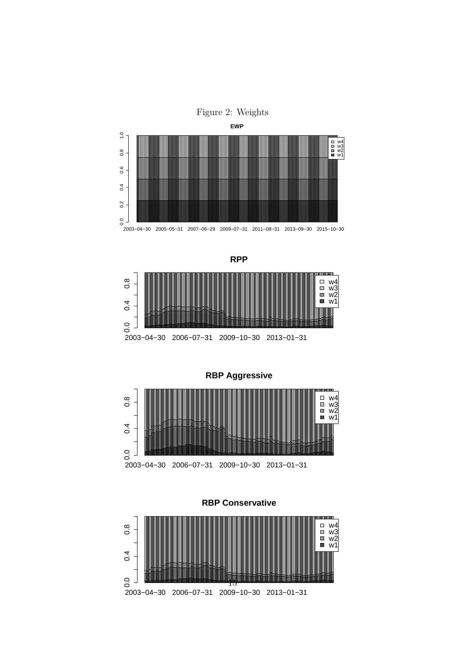





**RBP Aggressive**



**RBP Conservative**

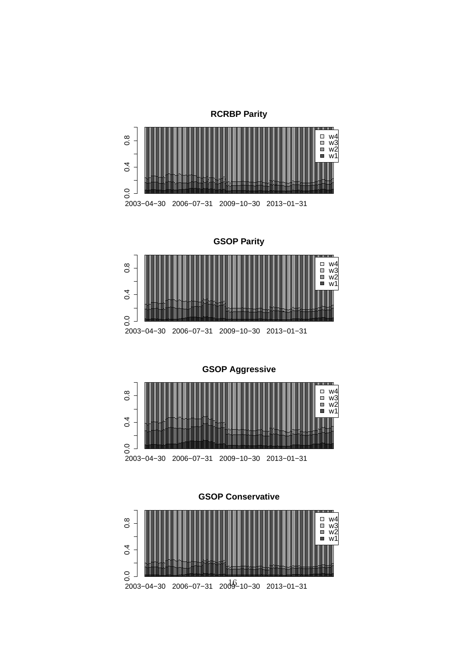

**GSOP Parity**



**GSOP Aggressive**



**GSOP Conservative**

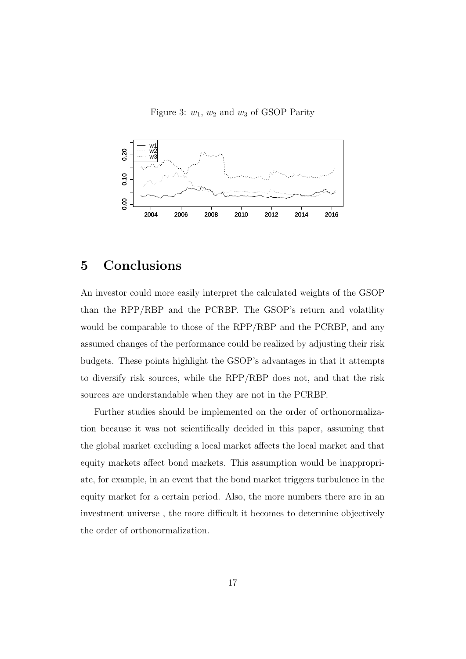Figure 3:  $w_1$ ,  $w_2$  and  $w_3$  of GSOP Parity



## **5 Conclusions**

An investor could more easily interpret the calculated weights of the GSOP than the RPP/RBP and the PCRBP. The GSOP's return and volatility would be comparable to those of the RPP/RBP and the PCRBP, and any assumed changes of the performance could be realized by adjusting their risk budgets. These points highlight the GSOP's advantages in that it attempts to diversify risk sources, while the RPP/RBP does not, and that the risk sources are understandable when they are not in the PCRBP.

Further studies should be implemented on the order of orthonormalization because it was not scientifically decided in this paper, assuming that the global market excluding a local market affects the local market and that equity markets affect bond markets. This assumption would be inappropriate, for example, in an event that the bond market triggers turbulence in the equity market for a certain period. Also, the more numbers there are in an investment universe , the more difficult it becomes to determine objectively the order of orthonormalization.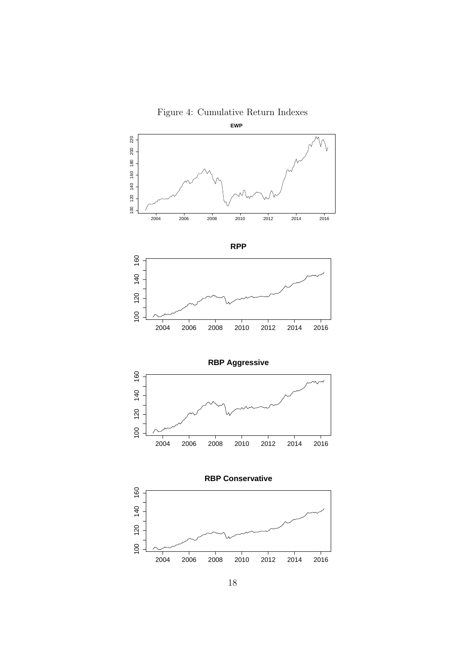



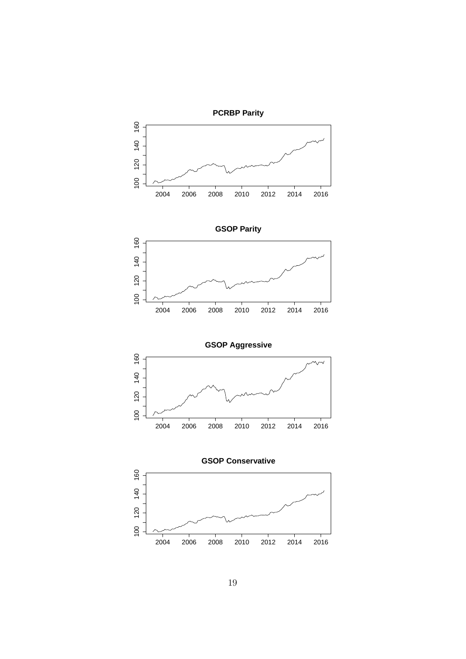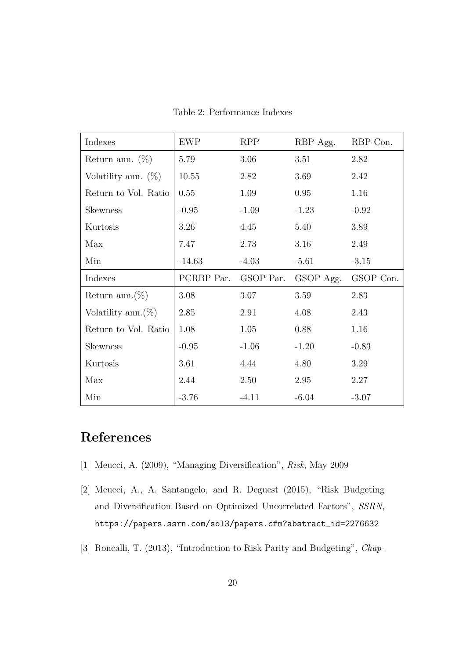| Indexes                | <b>EWP</b> | <b>RPP</b> | RBP Agg.  | RBP Con.  |
|------------------------|------------|------------|-----------|-----------|
| Return ann. $(\%)$     | 5.79       | 3.06       | 3.51      | 2.82      |
| Volatility ann. $(\%)$ | 10.55      | 2.82       | 3.69      | 2.42      |
| Return to Vol. Ratio   | 0.55       | 1.09       | 0.95      | 1.16      |
| <b>Skewness</b>        | $-0.95$    | $-1.09$    | $-1.23$   | $-0.92$   |
| Kurtosis               | 3.26       | 4.45       | 5.40      | 3.89      |
| Max                    | 7.47       | 2.73       | 3.16      | 2.49      |
| Min                    | $-14.63$   | $-4.03$    | $-5.61$   | $-3.15$   |
|                        |            |            |           |           |
| Indexes                | PCRBP Par. | GSOP Par.  | GSOP Agg. | GSOP Con. |
| Return ann. $(\%)$     | 3.08       | 3.07       | 3.59      | 2.83      |
| Volatility ann. $(\%)$ | 2.85       | 2.91       | 4.08      | 2.43      |
| Return to Vol. Ratio   | 1.08       | 1.05       | 0.88      | 1.16      |
| <b>Skewness</b>        | $-0.95$    | $-1.06$    | $-1.20$   | $-0.83$   |
| Kurtosis               | 3.61       | 4.44       | 4.80      | 3.29      |
| Max                    | 2.44       | 2.50       | 2.95      | 2.27      |

Table 2: Performance Indexes

## **References**

- [1] Meucci, A. (2009), "Managing Diversification", *Risk*, May 2009
- [2] Meucci, A., A. Santangelo, and R. Deguest (2015), "Risk Budgeting and Diversification Based on Optimized Uncorrelated Factors", *SSRN*, https://papers.ssrn.com/sol3/papers.cfm?abstract\_id=2276632
- [3] Roncalli, T. (2013), "Introduction to Risk Parity and Budgeting", *Chap-*